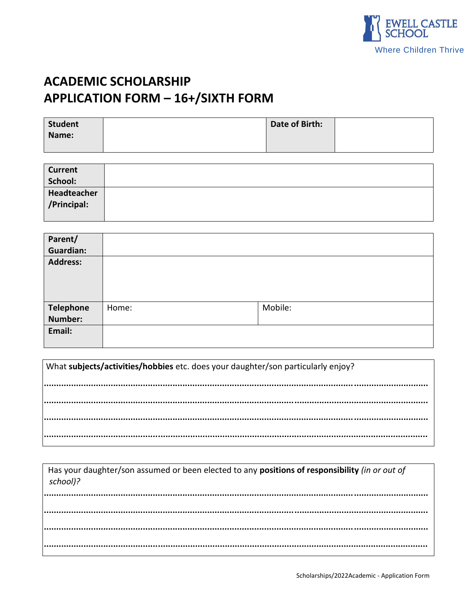

# **ACADEMIC SCHOLARSHIP APPLICATION FORM - 16+/SIXTH FORM**

| Student | Date of Birth: |  |
|---------|----------------|--|
| Name:   |                |  |
|         |                |  |

| <b>Current</b> |  |
|----------------|--|
| School:        |  |
| Headteacher    |  |
| /Principal:    |  |
|                |  |

| Parent/          |       |         |
|------------------|-------|---------|
| <b>Guardian:</b> |       |         |
| <b>Address:</b>  |       |         |
| <b>Telephone</b> | Home: | Mobile: |
| Number:          |       |         |
| Email:           |       |         |

| What subjects/activities/hobbies etc. does your daughter/son particularly enjoy? |  |  |  |  |
|----------------------------------------------------------------------------------|--|--|--|--|
|                                                                                  |  |  |  |  |
|                                                                                  |  |  |  |  |
|                                                                                  |  |  |  |  |
|                                                                                  |  |  |  |  |

| Has your daughter/son assumed or been elected to any positions of responsibility (in or out of<br>school)? |  |
|------------------------------------------------------------------------------------------------------------|--|
|                                                                                                            |  |
|                                                                                                            |  |
|                                                                                                            |  |
|                                                                                                            |  |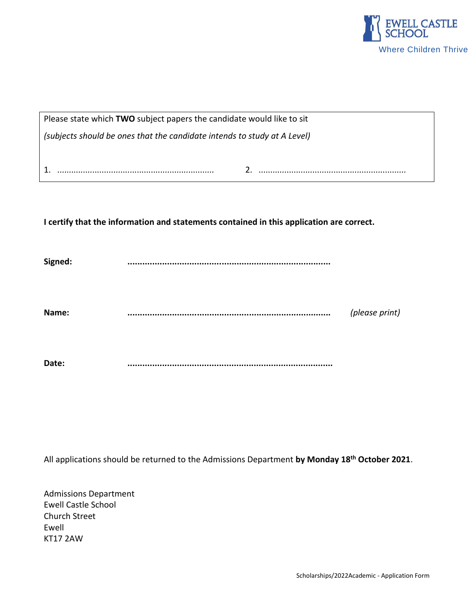

| Please state which TWO subject papers the candidate would like to sit                    |  |  |  |  |  |
|------------------------------------------------------------------------------------------|--|--|--|--|--|
| (subjects should be ones that the candidate intends to study at A Level)                 |  |  |  |  |  |
|                                                                                          |  |  |  |  |  |
|                                                                                          |  |  |  |  |  |
|                                                                                          |  |  |  |  |  |
|                                                                                          |  |  |  |  |  |
| I certify that the information and statements contained in this application are correct. |  |  |  |  |  |
|                                                                                          |  |  |  |  |  |
| Signed:                                                                                  |  |  |  |  |  |

**Name: ..................................................................................** *(please print)*

**Date: ...................................................................................**

All applications should be returned to the Admissions Department **by Monday 18 th October 2021**.

Admissions Department Ewell Castle School Church Street Ewell KT17 2AW